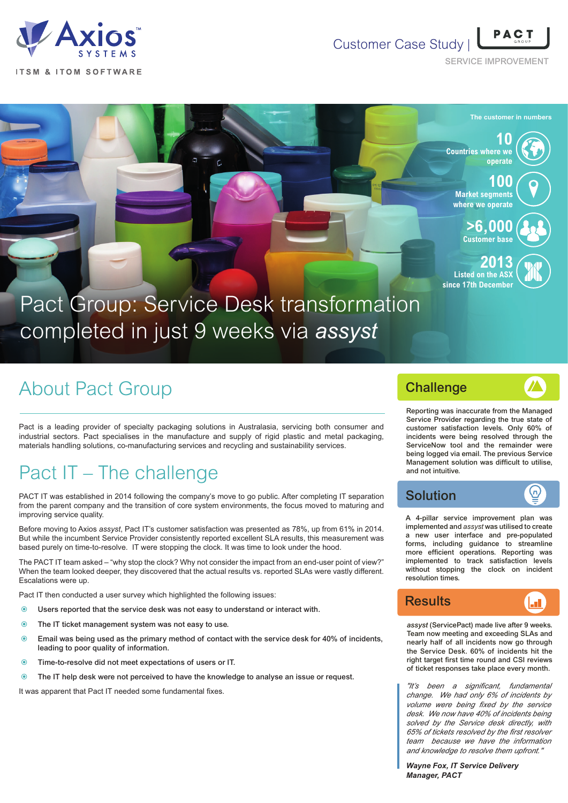

#### Customer Case Study |

SERVICE IMPROVEMENT



# About Pact Group

Pact is a leading provider of specialty packaging solutions in Australasia, servicing both consumer and industrial sectors. Pact specialises in the manufacture and supply of rigid plastic and metal packaging, materials handling solutions, co-manufacturing services and recycling and sustainability services.

# Pact IT – The challenge

PACT IT was established in 2014 following the company's move to go public. After completing IT separation from the parent company and the transition of core system environments, the focus moved to maturing and improving service quality.

Before moving to Axios *assyst*, Pact IT's customer satisfaction was presented as 78%, up from 61% in 2014. But while the incumbent Service Provider consistently reported excellent SLA results, this measurement was based purely on time-to-resolve. IT were stopping the clock. It was time to look under the hood.

The PACT IT team asked – "why stop the clock? Why not consider the impact from an end-user point of view?" When the team looked deeper, they discovered that the actual results vs. reported SLAs were vastly different. Escalations were up.

Pact IT then conducted a user survey which highlighted the following issues:

- Users reported that the service desk was not easy to understand or interact with.
- **O** The IT ticket management system was not easy to use.
- Email was being used as the primary method of contact with the service desk for 40% of incidents, leading to poor quality of information.
- Time-to-resolve did not meet expectations of users or IT.
- The IT help desk were not perceived to have the knowledge to analyse an issue or request.

It was apparent that Pact IT needed some fundamental fixes.

#### **Challenge**

(п

Reporting was inaccurate from the Managed Service Provider regarding the true state of customer satisfaction levels. Only 60% of incidents were being resolved through the ServiceNow tool and the remainder were being logged via email. The previous Service Management solution was difficult to utilise, and not intuitive.

#### Solution

A 4-pillar service improvement plan was implemented and *assyst* was utilised to create a new user interface and pre-populated forms, including guidance to streamline more efficient operations. Reporting was implemented to track satisfaction levels without stopping the clock on incident resolution times.



*assyst* (ServicePact) made live after 9 weeks. Team now meeting and exceeding SLAs and nearly half of all incidents now go through the Service Desk. 60% of incidents hit the right target first time round and CSI reviews of ticket responses take place every month.

*"It's been a significant, fundamental change. We had only 6% of incidents by volume were being fixed by the service desk. We now have 40% of incidents being solved by the Service desk directly, with 65% of tickets resolved by the first resolver team because we have the information and knowledge to resolve them upfront."*

*Wayne Fox, IT Service Delivery Manager, PACT*